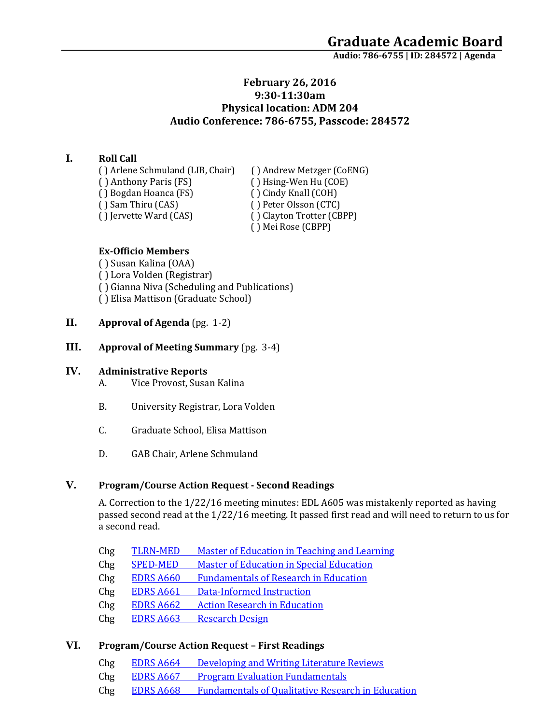# **February 26, 2016 9:30-11:30am Physical location: ADM 204 Audio Conference: 786-6755, Passcode: 284572**

## **I. Roll Call**

( ) Arlene Schmuland (LIB, Chair) ( ) Andrew Metzger (CoENG)<br>( ) Anthony Paris (FS) ( ) Hsing-Wen Hu (COE) ( ) Bogdan Hoanca (FS)<br>( ) Sam Thiru (CAS) ( ) Sam Thiru (CAS) ( ) Peter Olsson (CTC)<br>( ) Jervette Ward (CAS) ( ) Clayton Trotter (CB

( ) Hsing-Wen Hu (COE)<br>( ) Cindy Knall (COH) ( ) Clayton Trotter (CBPP) ( ) Mei Rose (CBPP)

### **Ex-Officio Members**

( ) Susan Kalina (OAA) ( ) Lora Volden (Registrar) ( ) Gianna Niva (Scheduling and Publications) ( ) Elisa Mattison (Graduate School)

## **II. Approval of Agenda** (pg. 1-2)

**III. Approval of Meeting Summary** (pg. 3-4)

### **IV. Administrative Reports**

- A. Vice Provost, Susan Kalina
- B. University Registrar, Lora Volden
- C. Graduate School, Elisa Mattison
- D. GAB Chair, Arlene Schmuland

### **V. Program/Course Action Request - Second Readings**

A. Correction to the 1/22/16 meeting minutes: EDL A605 was mistakenly reported as having passed second read at the 1/22/16 meeting. It passed first read and will need to return to us for a second read.

- Chg TLRN-MED [Master of Education in Teaching and Learning](https://nextcatalog.uaa.alaska.edu/courseleaf/courseleaf.cgi?page=/programadmin/21/index.html&step=tcadiff)
- Chg SPED-MED [Master of Education in Special Education](https://nextcatalog.uaa.alaska.edu/courseleaf/courseleaf.cgi?page=/programadmin/19/index.html&step=tcadiff)
- Chg EDRS A660 [Fundamentals of Research in Education](https://nextcatalog.uaa.alaska.edu/courseleaf/courseleaf.cgi?page=/courseadmin/2806/index.html&step=tcadiff)
- Chg EDRS A661 [Data-Informed Instruction](https://nextcatalog.uaa.alaska.edu/courseleaf/courseleaf.cgi?page=/courseadmin/2804/index.html&step=tcadiff)
- Chg EDRS A662 [Action Research in Education](https://nextcatalog.uaa.alaska.edu/courseleaf/courseleaf.cgi?page=/courseadmin/2807/index.html&step=tcadiff)
- Chg EDRS A663 [Research Design](https://nextcatalog.uaa.alaska.edu/courseleaf/courseleaf.cgi?page=/courseadmin/2811/index.html&step=tcadiff)

#### **VI. Program/Course Action Request – First Readings**

- Chg EDRS A664 [Developing and Writing Literature Reviews](https://nextcatalog.uaa.alaska.edu/courseleaf/courseleaf.cgi?page=/courseadmin/2810/index.html&step=tcadiff)
- Chg EDRS A667 [Program Evaluation Fundamentals](https://nextcatalog.uaa.alaska.edu/courseleaf/courseleaf.cgi?page=/courseadmin/2808/index.html&step=tcadiff)
- Chg EDRS A668 [Fundamentals of Qualitative Research in Education](https://nextcatalog.uaa.alaska.edu/courseleaf/courseleaf.cgi?page=/courseadmin/2809/index.html&step=tcadiff)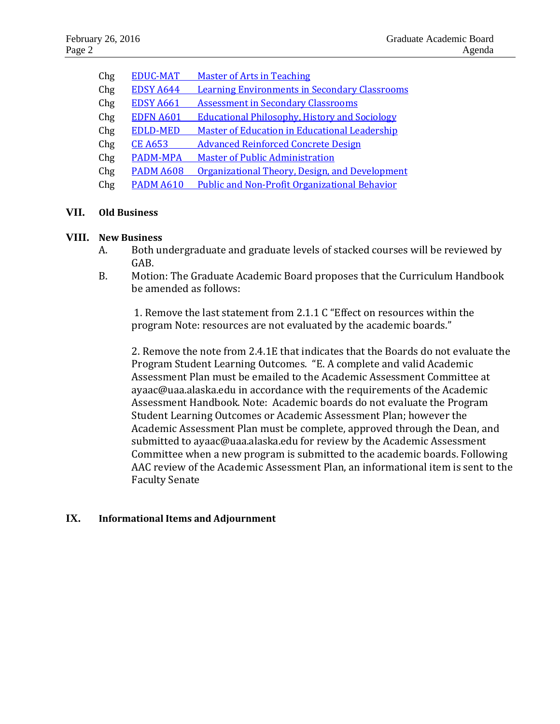| Chg | <b>EDUC-MAT</b>  | <b>Master of Arts in Teaching</b>                    |
|-----|------------------|------------------------------------------------------|
| Chg | <b>EDSY A644</b> | <b>Learning Environments in Secondary Classrooms</b> |
| Chg | <b>EDSY A661</b> | <b>Assessment in Secondary Classrooms</b>            |
| Chg | <b>EDFN A601</b> | <b>Educational Philosophy, History and Sociology</b> |
| Chg | <b>EDLD-MED</b>  | Master of Education in Educational Leadership        |
| Chg | <b>CE A653</b>   | <b>Advanced Reinforced Concrete Design</b>           |
| Chg | <b>PADM-MPA</b>  | <b>Master of Public Administration</b>               |
| Chg | <b>PADM A608</b> | Organizational Theory, Design, and Development       |
| Chg | <b>PADM A610</b> | <b>Public and Non-Profit Organizational Behavior</b> |
|     |                  |                                                      |

# **VII. Old Business**

### **VIII. New Business**

- A. Both undergraduate and graduate levels of stacked courses will be reviewed by GAB.
- B. Motion: The Graduate Academic Board proposes that the Curriculum Handbook be amended as follows:

1. Remove the last statement from 2.1.1 C "Effect on resources within the program Note: resources are not evaluated by the academic boards."

2. Remove the note from 2.4.1E that indicates that the Boards do not evaluate the Program Student Learning Outcomes. "E. A complete and valid Academic Assessment Plan must be emailed to the Academic Assessment Committee at ayaac@uaa.alaska.edu in accordance with the requirements of the Academic Assessment Handbook. Note: Academic boards do not evaluate the Program Student Learning Outcomes or Academic Assessment Plan; however the Academic Assessment Plan must be complete, approved through the Dean, and submitted to ayaac@uaa.alaska.edu for review by the Academic Assessment Committee when a new program is submitted to the academic boards. Following AAC review of the Academic Assessment Plan, an informational item is sent to the Faculty Senate

### **IX. Informational Items and Adjournment**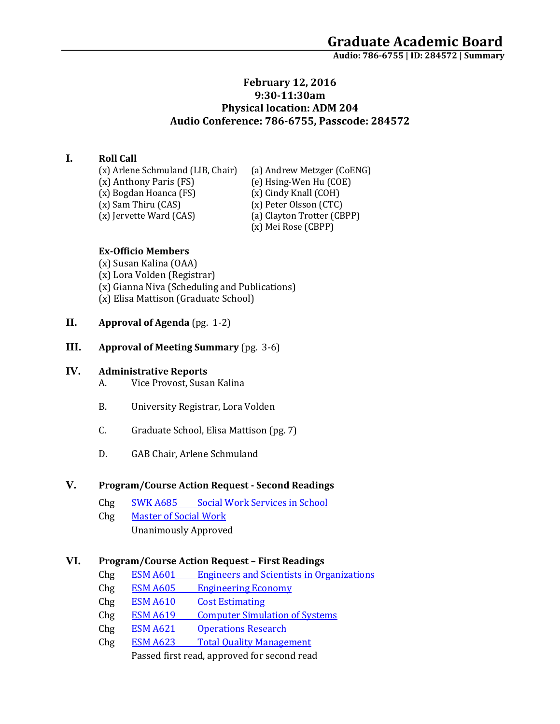## **February 12, 2016 9:30-11:30am Physical location: ADM 204 Audio Conference: 786-6755, Passcode: 284572**

### **I. Roll Call**

(x) Arlene Schmuland (LIB, Chair) (a) Andrew Metzger (CoENG)<br>(x) Anthony Paris (FS) (e) Hsing-Wen Hu (COE) (x) Bogdan Hoanca (FS)<br>(x) Sam Thiru (CAS) (x) Sam Thiru (CAS) (x) Peter Olsson (CTC)<br>(x) Jervette Ward (CAS) (a) Clayton Trotter (CB

(e) Hsing-Wen Hu (COE)<br>(x) Cindy Knall (COH) (a) Clayton Trotter (CBPP) (x) Mei Rose (CBPP)

### **Ex-Officio Members**

(x) Susan Kalina (OAA) (x) Lora Volden (Registrar) (x) Gianna Niva (Scheduling and Publications) (x) Elisa Mattison (Graduate School)

- **II. Approval of Agenda** (pg. 1-2)
- **III. Approval of Meeting Summary** (pg. 3-6)

### **IV. Administrative Reports**

- A. Vice Provost, Susan Kalina
- B. University Registrar, Lora Volden
- C. Graduate School, Elisa Mattison (pg. 7)
- D. GAB Chair, Arlene Schmuland

### **V. Program/Course Action Request - Second Readings**

- Chg SWK A685 Social [Work Services in School](https://nextcatalog.uaa.alaska.edu/courseleaf/courseleaf.cgi?page=/courseadmin/5970/index.html&step=tcadiff) Chg [Master of Social Work](https://nextcatalog.uaa.alaska.edu/courseleaf/courseleaf.cgi?page=/programadmin/42/index.html&step=tcadiff)
	- Unanimously Approved

#### **VI. Program/Course Action Request – First Readings**

- Chg ESM A601 [Engineers and Scientists in Organizations](https://nextcatalog.uaa.alaska.edu/courseleaf/courseleaf.cgi?page=/courseadmin/3291/index.html&step=tcadiff)
- Chg ESM A605 [Engineering Economy](https://nextcatalog.uaa.alaska.edu/courseleaf/courseleaf.cgi?page=/courseadmin/3185/index.html&step=tcadiff)
- Chg ESM A610 [Cost Estimating](https://nextcatalog.uaa.alaska.edu/courseleaf/courseleaf.cgi?page=/courseadmin/3189/index.html&step=tcadiff)
- Chg ESM A619 [Computer Simulation of Systems](https://nextcatalog.uaa.alaska.edu/courseleaf/courseleaf.cgi?page=/courseadmin/3193/index.html&step=tcadiff)
- Chg ESM A621 [Operations Research](https://nextcatalog.uaa.alaska.edu/courseleaf/courseleaf.cgi?page=/courseadmin/3195/index.html&step=tcadiff)
- Chg ESM A623 [Total Quality Management](https://nextcatalog.uaa.alaska.edu/courseleaf/courseleaf.cgi?page=/courseadmin/3197/index.html&step=tcadiff)

Passed first read, approved for second read